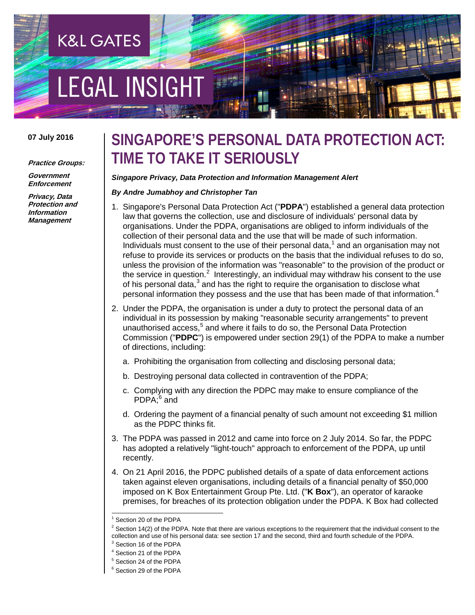# EGAL INSIGH

**K&L GATES** 

# **07 July 2016**

### **Practice Groups:**

**Government Enforcement**

**Privacy, Data Protection and Information Management**

# **SINGAPORE'S PERSONAL DATA PROTECTION ACT: TIME TO TAKE IT SERIOUSLY**

## *Singapore Privacy, Data Protection and Information Management Alert*

## *By Andre Jumabhoy and Christopher Tan*

- 1. Singapore's Personal Data Protection Act ("**PDPA**") established a general data protection law that governs the collection, use and disclosure of individuals' personal data by organisations. Under the PDPA, organisations are obliged to inform individuals of the collection of their personal data and the use that will be made of such information. Individuals must consent to the use of their personal data, $<sup>1</sup>$  $<sup>1</sup>$  $<sup>1</sup>$  and an organisation may not</sup> refuse to provide its services or products on the basis that the individual refuses to do so, unless the provision of the information was "reasonable" to the provision of the product or the service in question.<sup>[2](#page-0-1)</sup> Interestingly, an individual may withdraw his consent to the use of his personal data, $3$  and has the right to require the organisation to disclose what personal information they possess and the use that has been made of that information.<sup>[4](#page-0-3)</sup>
- 2. Under the PDPA, the organisation is under a duty to protect the personal data of an individual in its possession by making "reasonable security arrangements" to prevent unauthorised access,<sup>[5](#page-0-4)</sup> and where it fails to do so, the Personal Data Protection Commission ("**PDPC**") is empowered under section 29(1) of the PDPA to make a number of directions, including:
	- a. Prohibiting the organisation from collecting and disclosing personal data;
	- b. Destroying personal data collected in contravention of the PDPA;
	- c. Complying with any direction the PDPC may make to ensure compliance of the PDPA:<sup>[6](#page-0-5)</sup> and
	- d. Ordering the payment of a financial penalty of such amount not exceeding \$1 million as the PDPC thinks fit.
- 3. The PDPA was passed in 2012 and came into force on 2 July 2014. So far, the PDPC has adopted a relatively "light-touch" approach to enforcement of the PDPA, up until recently.
- 4. On 21 April 2016, the PDPC published details of a spate of data enforcement actions taken against eleven organisations, including details of a financial penalty of \$50,000 imposed on K Box Entertainment Group Pte. Ltd. ("**K Box**"), an operator of karaoke premises, for breaches of its protection obligation under the PDPA. K Box had collected

Section 20 of the PDPA

<span id="page-0-1"></span><span id="page-0-0"></span> $2$  Section 14(2) of the PDPA. Note that there are various exceptions to the requirement that the individual consent to the collection and use of his personal data: see section 17 and the second, third and fourth schedule of the PDPA.

<span id="page-0-2"></span><sup>3</sup> Section 16 of the PDPA

<span id="page-0-3"></span><sup>4</sup> Section 21 of the PDPA

<span id="page-0-5"></span><span id="page-0-4"></span><sup>5</sup> Section 24 of the PDPA

<sup>6</sup> Section 29 of the PDPA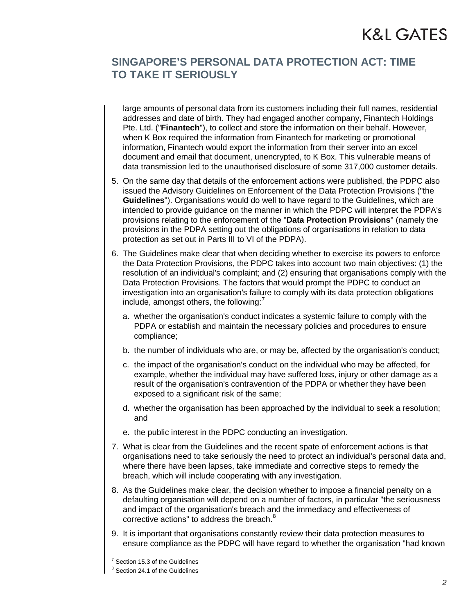# **SINGAPORE'S PERSONAL DATA PROTECTION ACT: TIME TO TAKE IT SERIOUSLY**

large amounts of personal data from its customers including their full names, residential addresses and date of birth. They had engaged another company, Finantech Holdings Pte. Ltd. ("**Finantech**"), to collect and store the information on their behalf. However, when K Box required the information from Finantech for marketing or promotional information, Finantech would export the information from their server into an excel document and email that document, unencrypted, to K Box. This vulnerable means of data transmission led to the unauthorised disclosure of some 317,000 customer details.

- 5. On the same day that details of the enforcement actions were published, the PDPC also issued the Advisory Guidelines on Enforcement of the Data Protection Provisions ("the **Guidelines**"). Organisations would do well to have regard to the Guidelines, which are intended to provide guidance on the manner in which the PDPC will interpret the PDPA's provisions relating to the enforcement of the "**Data Protection Provisions**" (namely the provisions in the PDPA setting out the obligations of organisations in relation to data protection as set out in Parts III to VI of the PDPA).
- 6. The Guidelines make clear that when deciding whether to exercise its powers to enforce the Data Protection Provisions, the PDPC takes into account two main objectives: (1) the resolution of an individual's complaint; and (2) ensuring that organisations comply with the Data Protection Provisions. The factors that would prompt the PDPC to conduct an investigation into an organisation's failure to comply with its data protection obligations include, amongst others, the following: $<sup>7</sup>$  $<sup>7</sup>$  $<sup>7</sup>$ </sup>
	- a. whether the organisation's conduct indicates a systemic failure to comply with the PDPA or establish and maintain the necessary policies and procedures to ensure compliance;
	- b. the number of individuals who are, or may be, affected by the organisation's conduct;
	- c. the impact of the organisation's conduct on the individual who may be affected, for example, whether the individual may have suffered loss, injury or other damage as a result of the organisation's contravention of the PDPA or whether they have been exposed to a significant risk of the same;
	- d. whether the organisation has been approached by the individual to seek a resolution; and
	- e. the public interest in the PDPC conducting an investigation.
- 7. What is clear from the Guidelines and the recent spate of enforcement actions is that organisations need to take seriously the need to protect an individual's personal data and, where there have been lapses, take immediate and corrective steps to remedy the breach, which will include cooperating with any investigation.
- 8. As the Guidelines make clear, the decision whether to impose a financial penalty on a defaulting organisation will depend on a number of factors, in particular "the seriousness and impact of the organisation's breach and the immediacy and effectiveness of corrective actions" to address the breach.<sup>[8](#page-1-1)</sup>
- 9. It is important that organisations constantly review their data protection measures to ensure compliance as the PDPC will have regard to whether the organisation "had known

Section 15.3 of the Guidelines

<span id="page-1-1"></span><span id="page-1-0"></span><sup>&</sup>lt;sup>8</sup> Section 24.1 of the Guidelines